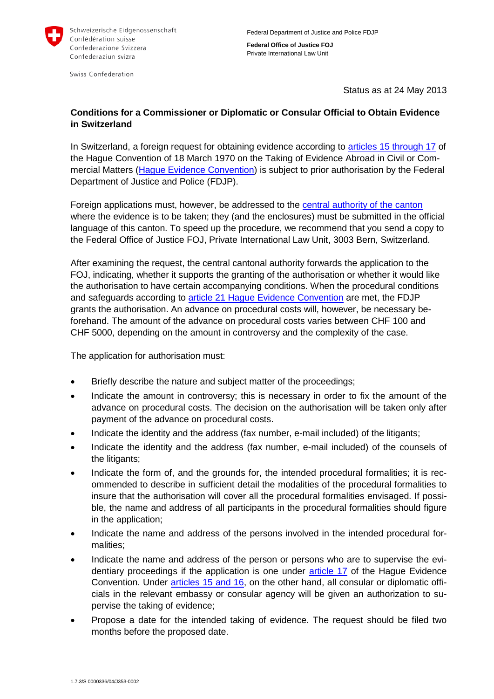

Swiss Confederation

**Federal Office of Justice FOJ** Private International Law Unit

Status as at 24 May 2013

## **Conditions for a Commissioner or Diplomatic or Consular Official to Obtain Evidence in Switzerland**

In Switzerland, a foreign request for obtaining evidence according to [articles 15 through 17](http://hcch.e-vision.nl/index_en.php?act=conventions.text&cid=82) of the Hague Convention of 18 March 1970 on the Taking of Evidence Abroad in Civil or Commercial Matters [\(Hague Evidence Convention\)](http://www.rhf.admin.ch/rhf/de/home/zivil/recht/sr0-274-132.html) is subject to prior authorisation by the Federal Department of Justice and Police (FDJP).

Foreign applications must, however, be addressed to the [central authority of the canton](http://www.rhf.admin.ch/rhf/de/home/zivil/behoerden/zentral.html) where the evidence is to be taken; they (and the enclosures) must be submitted in the official language of this canton. To speed up the procedure, we recommend that you send a copy to the Federal Office of Justice FOJ, Private International Law Unit, 3003 Bern, Switzerland.

After examining the request, the central cantonal authority forwards the application to the FOJ, indicating, whether it supports the granting of the authorisation or whether it would like the authorisation to have certain accompanying conditions. When the procedural conditions and safeguards according to article 21 [Hague Evidence Convention](http://hcch.e-vision.nl/index_en.php?act=conventions.text&cid=82) are met, the FDJP grants the authorisation. An advance on procedural costs will, however, be necessary beforehand. The amount of the advance on procedural costs varies between CHF 100 and CHF 5000, depending on the amount in controversy and the complexity of the case.

The application for authorisation must:

- Briefly describe the nature and subject matter of the proceedings;
- Indicate the amount in controversy; this is necessary in order to fix the amount of the advance on procedural costs. The decision on the authorisation will be taken only after payment of the advance on procedural costs.
- Indicate the identity and the address (fax number, e-mail included) of the litigants;
- Indicate the identity and the address (fax number, e-mail included) of the counsels of the litigants;
- Indicate the form of, and the grounds for, the intended procedural formalities; it is recommended to describe in sufficient detail the modalities of the procedural formalities to insure that the authorisation will cover all the procedural formalities envisaged. If possible, the name and address of all participants in the procedural formalities should figure in the application;
- Indicate the name and address of the persons involved in the intended procedural formalities;
- Indicate the name and address of the person or persons who are to supervise the evidentiary proceedings if the application is one under [article 17](http://hcch.e-vision.nl/index_en.php?act=conventions.text&cid=82) of the Hague Evidence Convention. Under [articles 15 and 16,](http://hcch.e-vision.nl/index_en.php?act=conventions.text&cid=82) on the other hand, all consular or diplomatic officials in the relevant embassy or consular agency will be given an authorization to supervise the taking of evidence;
- Propose a date for the intended taking of evidence. The request should be filed two months before the proposed date.